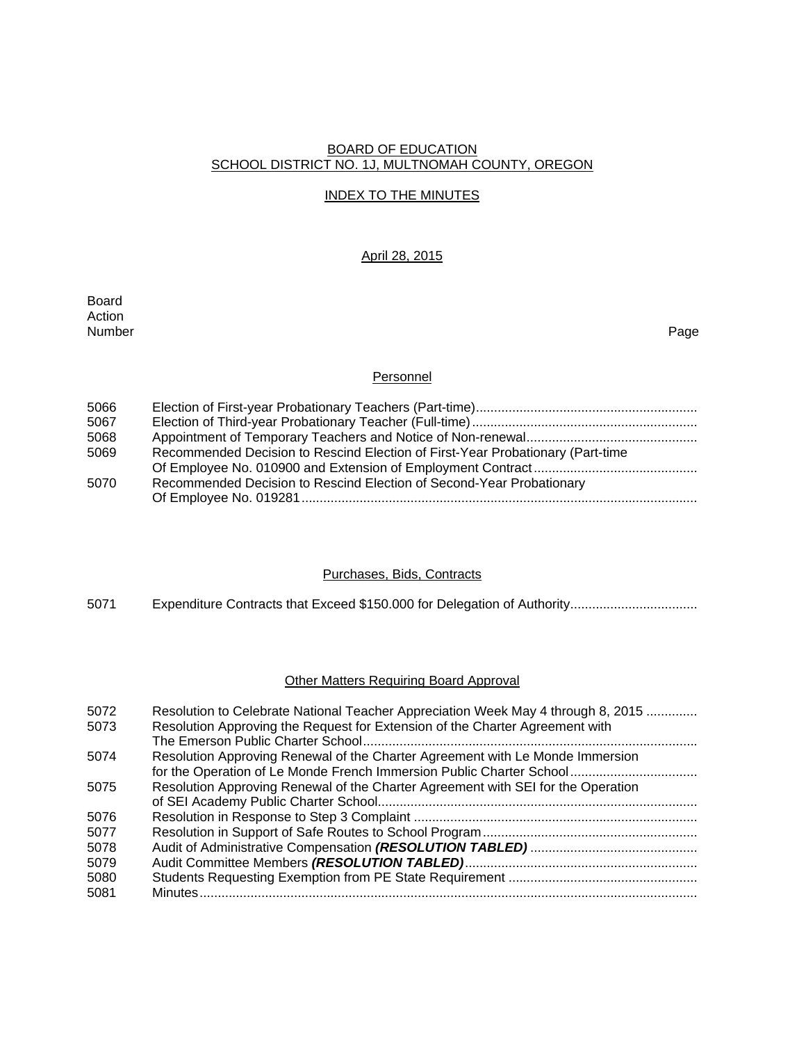# BOARD OF EDUCATION SCHOOL DISTRICT NO. 1J, MULTNOMAH COUNTY, OREGON

# INDEX TO THE MINUTES

## April 28, 2015

Board Action<br>Number Number Page

## **Personnel**

| 5066 |                                                                                |
|------|--------------------------------------------------------------------------------|
| 5067 |                                                                                |
| 5068 |                                                                                |
| 5069 | Recommended Decision to Rescind Election of First-Year Probationary (Part-time |
|      |                                                                                |
| 5070 | Recommended Decision to Rescind Election of Second-Year Probationary           |
|      |                                                                                |

### Purchases, Bids, Contracts

5071 Expenditure Contracts that Exceed \$150.000 for Delegation of Authority..................................

## **Other Matters Requiring Board Approval**

| 5072 | Resolution to Celebrate National Teacher Appreciation Week May 4 through 8, 2015 |
|------|----------------------------------------------------------------------------------|
| 5073 | Resolution Approving the Request for Extension of the Charter Agreement with     |
|      |                                                                                  |
| 5074 | Resolution Approving Renewal of the Charter Agreement with Le Monde Immersion    |
|      | for the Operation of Le Monde French Immersion Public Charter School             |
| 5075 | Resolution Approving Renewal of the Charter Agreement with SEI for the Operation |
|      |                                                                                  |
| 5076 |                                                                                  |
| 5077 |                                                                                  |
| 5078 |                                                                                  |
| 5079 |                                                                                  |
| 5080 |                                                                                  |
| 5081 |                                                                                  |
|      |                                                                                  |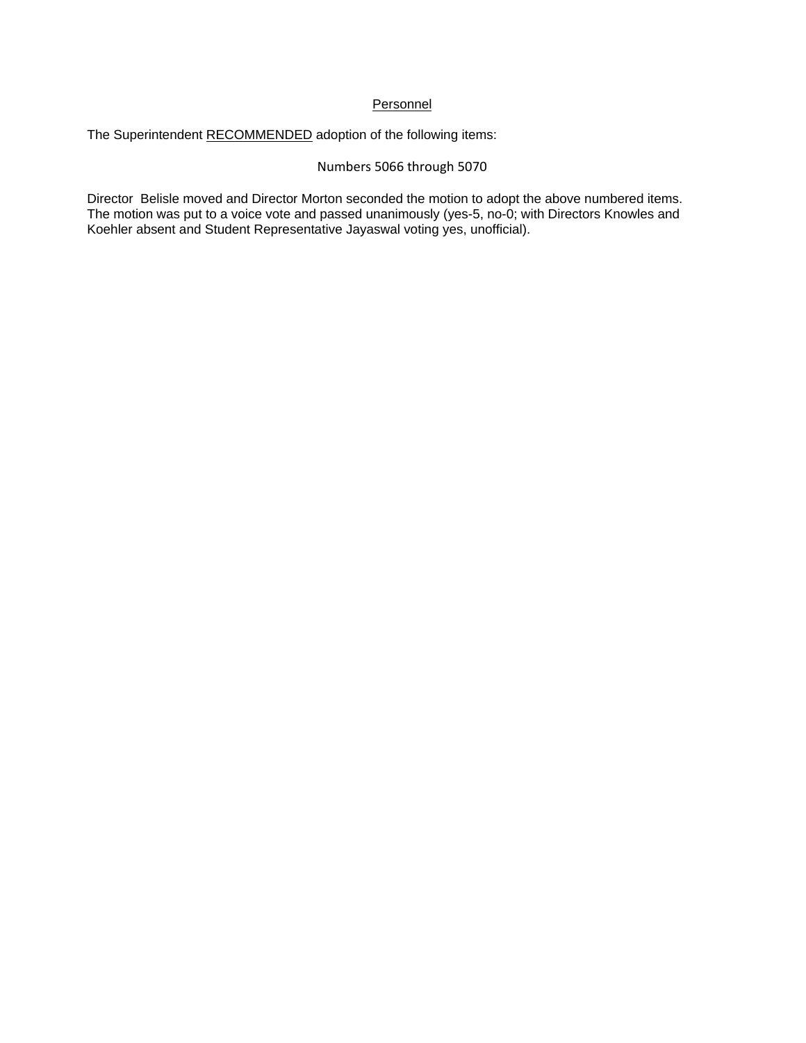## Personnel

The Superintendent RECOMMENDED adoption of the following items:

# Numbers 5066 through 5070

Director Belisle moved and Director Morton seconded the motion to adopt the above numbered items. The motion was put to a voice vote and passed unanimously (yes-5, no-0; with Directors Knowles and Koehler absent and Student Representative Jayaswal voting yes, unofficial).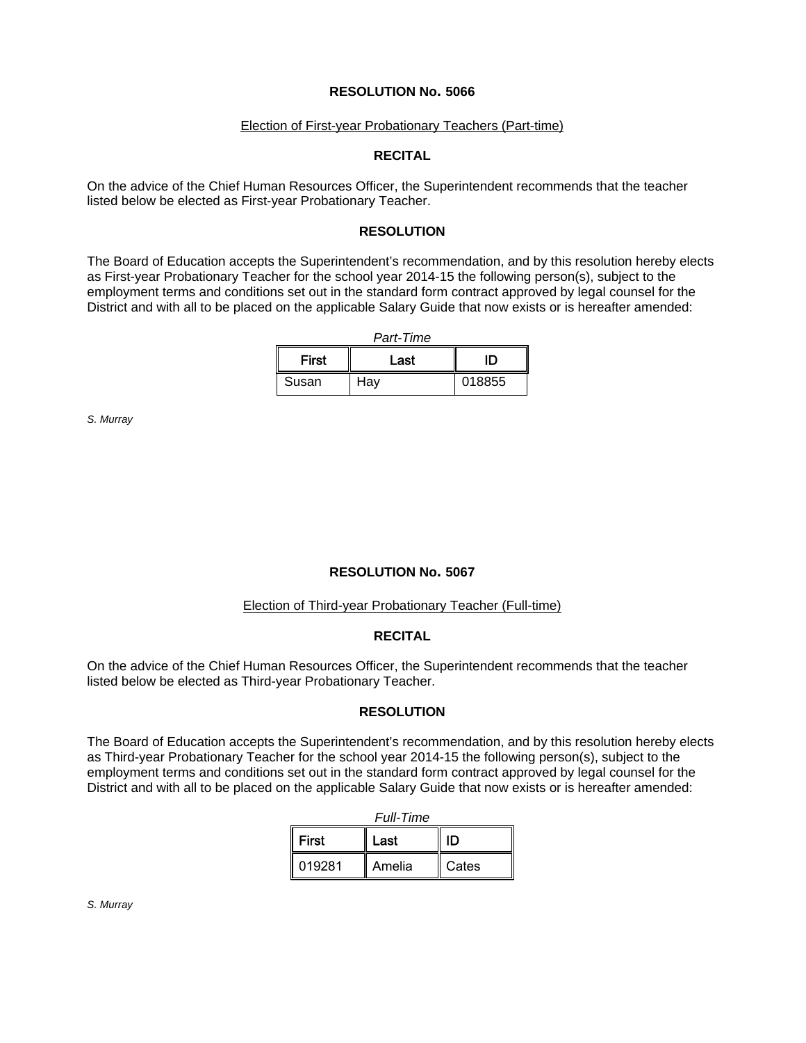#### Election of First-year Probationary Teachers (Part-time)

#### **RECITAL**

On the advice of the Chief Human Resources Officer, the Superintendent recommends that the teacher listed below be elected as First-year Probationary Teacher.

## **RESOLUTION**

The Board of Education accepts the Superintendent's recommendation, and by this resolution hereby elects as First-year Probationary Teacher for the school year 2014-15 the following person(s), subject to the employment terms and conditions set out in the standard form contract approved by legal counsel for the District and with all to be placed on the applicable Salary Guide that now exists or is hereafter amended:

| Part-Time |      |        |  |  |
|-----------|------|--------|--|--|
| First     | Last | ID     |  |  |
| Susan     | Hav  | 018855 |  |  |

*S. Murray*

## **RESOLUTION No. 5067**

#### Election of Third-year Probationary Teacher (Full-time)

#### **RECITAL**

On the advice of the Chief Human Resources Officer, the Superintendent recommends that the teacher listed below be elected as Third-year Probationary Teacher.

#### **RESOLUTION**

The Board of Education accepts the Superintendent's recommendation, and by this resolution hereby elects as Third-year Probationary Teacher for the school year 2014-15 the following person(s), subject to the employment terms and conditions set out in the standard form contract approved by legal counsel for the District and with all to be placed on the applicable Salary Guide that now exists or is hereafter amended:

| <b>Full-Time</b> |        |       |  |  |
|------------------|--------|-------|--|--|
| First<br>Last    |        | ID    |  |  |
| 019281           | Amelia | Cates |  |  |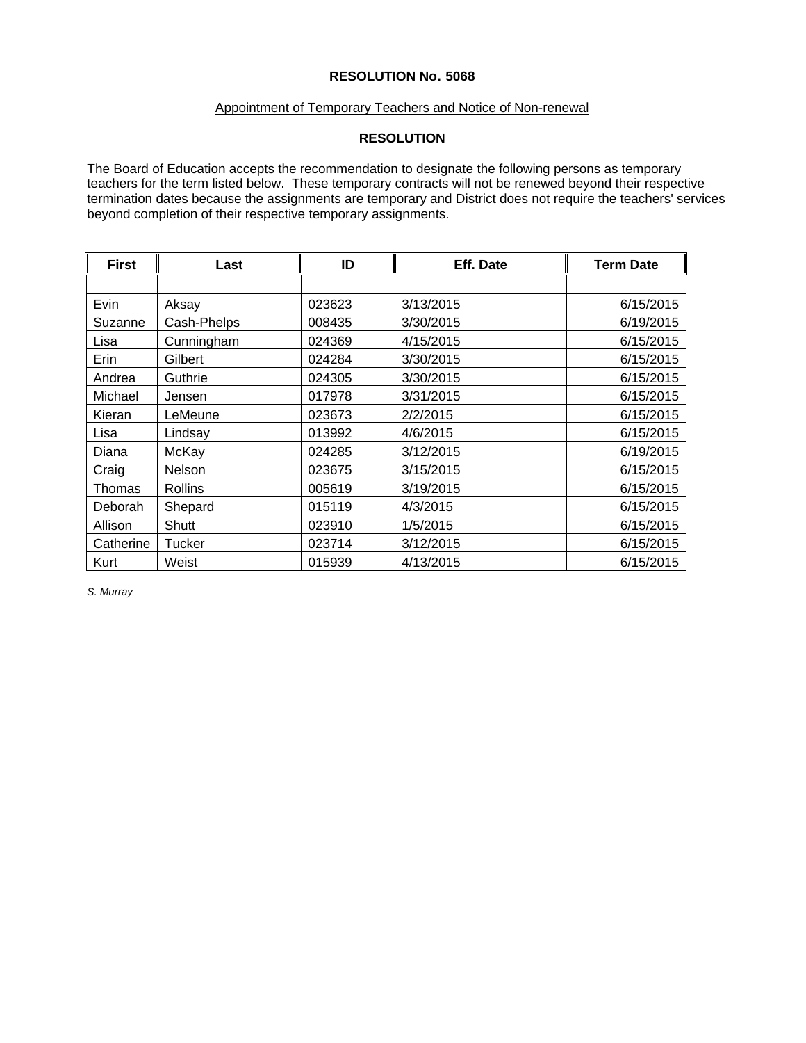### Appointment of Temporary Teachers and Notice of Non-renewal

# **RESOLUTION**

The Board of Education accepts the recommendation to designate the following persons as temporary teachers for the term listed below. These temporary contracts will not be renewed beyond their respective termination dates because the assignments are temporary and District does not require the teachers' services beyond completion of their respective temporary assignments.

| <b>First</b> | Last        | ID     | Eff. Date | <b>Term Date</b> |
|--------------|-------------|--------|-----------|------------------|
|              |             |        |           |                  |
| Evin         | Aksay       | 023623 | 3/13/2015 | 6/15/2015        |
| Suzanne      | Cash-Phelps | 008435 | 3/30/2015 | 6/19/2015        |
| Lisa         | Cunningham  | 024369 | 4/15/2015 | 6/15/2015        |
| Erin         | Gilbert     | 024284 | 3/30/2015 | 6/15/2015        |
| Andrea       | Guthrie     | 024305 | 3/30/2015 | 6/15/2015        |
| Michael      | Jensen      | 017978 | 3/31/2015 | 6/15/2015        |
| Kieran       | LeMeune     | 023673 | 2/2/2015  | 6/15/2015        |
| Lisa         | Lindsay     | 013992 | 4/6/2015  | 6/15/2015        |
| Diana        | McKay       | 024285 | 3/12/2015 | 6/19/2015        |
| Craig        | Nelson      | 023675 | 3/15/2015 | 6/15/2015        |
| Thomas       | Rollins     | 005619 | 3/19/2015 | 6/15/2015        |
| Deborah      | Shepard     | 015119 | 4/3/2015  | 6/15/2015        |
| Allison      | Shutt       | 023910 | 1/5/2015  | 6/15/2015        |
| Catherine    | Tucker      | 023714 | 3/12/2015 | 6/15/2015        |
| Kurt         | Weist       | 015939 | 4/13/2015 | 6/15/2015        |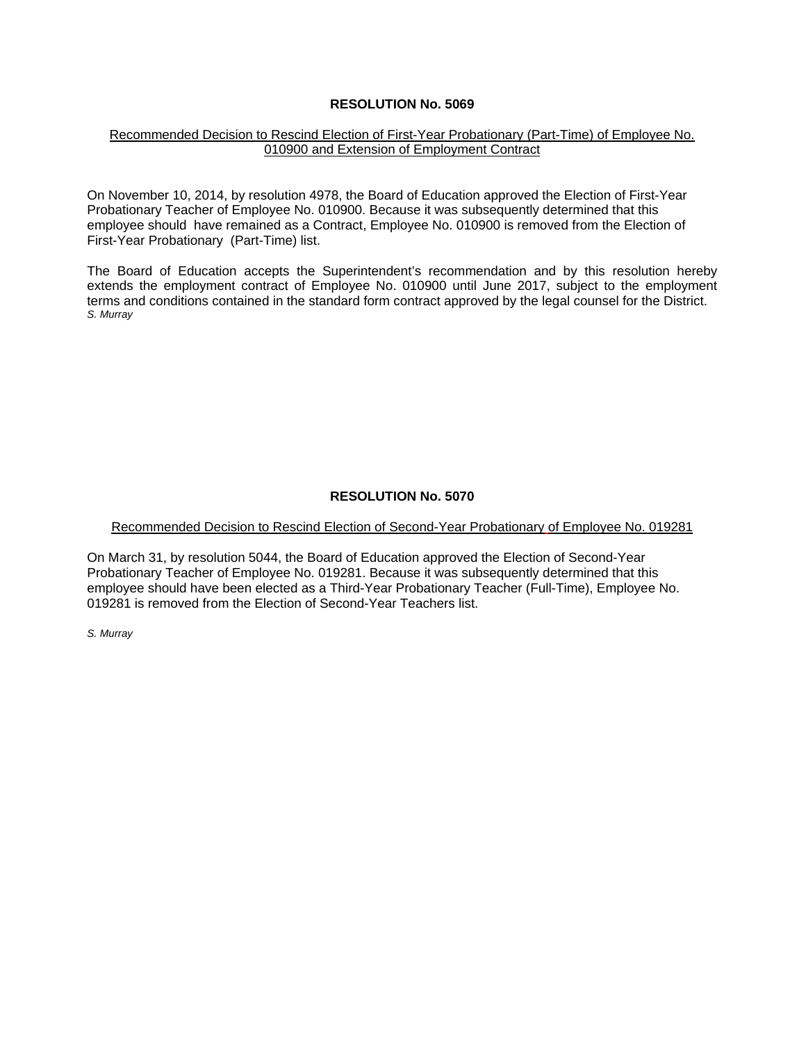#### Recommended Decision to Rescind Election of First-Year Probationary (Part-Time) of Employee No. 010900 and Extension of Employment Contract

On November 10, 2014, by resolution 4978, the Board of Education approved the Election of First-Year Probationary Teacher of Employee No. 010900. Because it was subsequently determined that this employee should have remained as a Contract, Employee No. 010900 is removed from the Election of First-Year Probationary (Part-Time) list.

The Board of Education accepts the Superintendent's recommendation and by this resolution hereby extends the employment contract of Employee No. 010900 until June 2017, subject to the employment terms and conditions contained in the standard form contract approved by the legal counsel for the District. *S. Murray*

# **RESOLUTION No. 5070**

#### Recommended Decision to Rescind Election of Second-Year Probationary of Employee No. 019281

On March 31, by resolution 5044, the Board of Education approved the Election of Second-Year Probationary Teacher of Employee No. 019281. Because it was subsequently determined that this employee should have been elected as a Third-Year Probationary Teacher (Full-Time), Employee No. 019281 is removed from the Election of Second-Year Teachers list.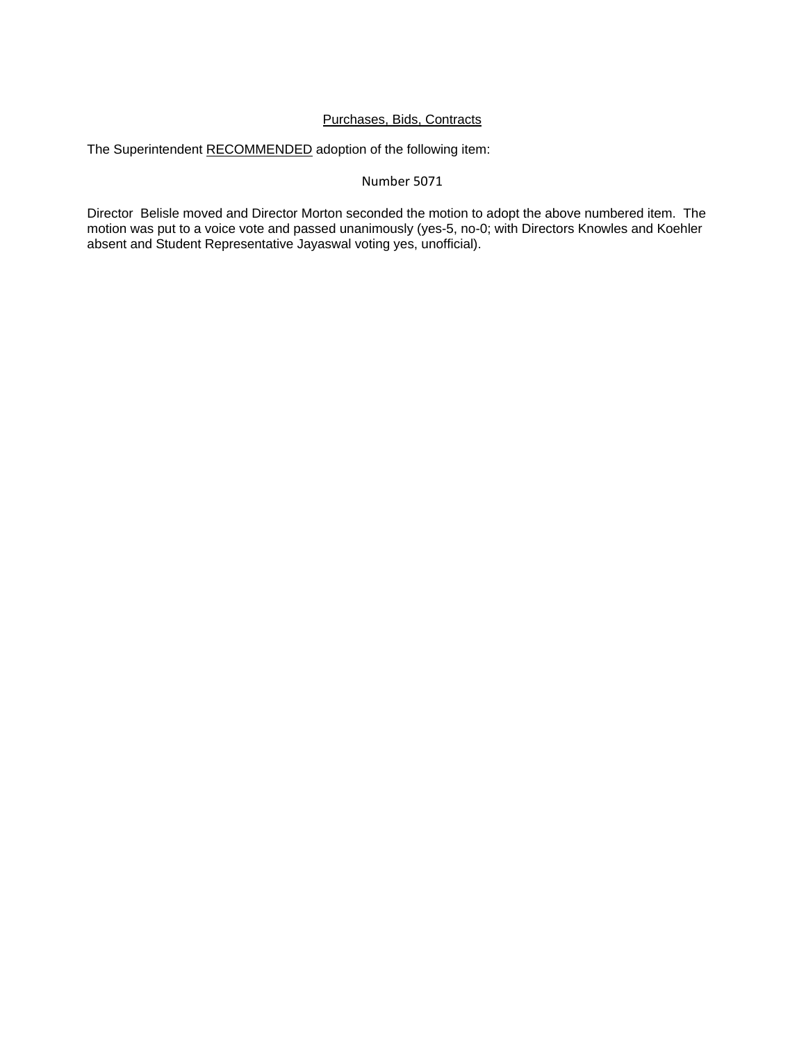### Purchases, Bids, Contracts

The Superintendent RECOMMENDED adoption of the following item:

#### Number 5071

Director Belisle moved and Director Morton seconded the motion to adopt the above numbered item. The motion was put to a voice vote and passed unanimously (yes-5, no-0; with Directors Knowles and Koehler absent and Student Representative Jayaswal voting yes, unofficial).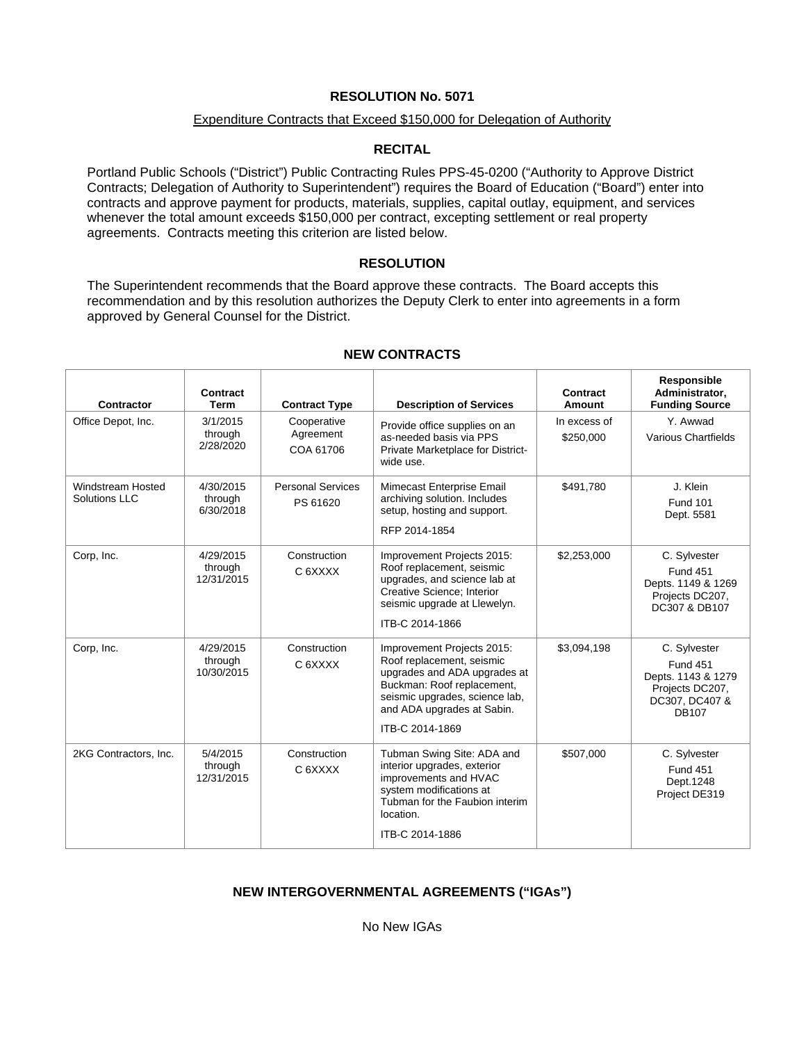#### Expenditure Contracts that Exceed \$150,000 for Delegation of Authority

## **RECITAL**

Portland Public Schools ("District") Public Contracting Rules PPS-45-0200 ("Authority to Approve District Contracts; Delegation of Authority to Superintendent") requires the Board of Education ("Board") enter into contracts and approve payment for products, materials, supplies, capital outlay, equipment, and services whenever the total amount exceeds \$150,000 per contract, excepting settlement or real property agreements. Contracts meeting this criterion are listed below.

#### **RESOLUTION**

The Superintendent recommends that the Board approve these contracts. The Board accepts this recommendation and by this resolution authorizes the Deputy Clerk to enter into agreements in a form approved by General Counsel for the District.

| <b>Contractor</b>                  | <b>Contract</b><br>Term            | <b>Contract Type</b>                  | <b>Description of Services</b>                                                                                                                                                                           | Contract<br>Amount        | Responsible<br>Administrator,<br><b>Funding Source</b>                                                     |
|------------------------------------|------------------------------------|---------------------------------------|----------------------------------------------------------------------------------------------------------------------------------------------------------------------------------------------------------|---------------------------|------------------------------------------------------------------------------------------------------------|
| Office Depot, Inc.                 | 3/1/2015<br>through<br>2/28/2020   | Cooperative<br>Agreement<br>COA 61706 | Provide office supplies on an<br>as-needed basis via PPS<br>Private Marketplace for District-                                                                                                            | In excess of<br>\$250,000 | Y. Awwad<br>Various Chartfields                                                                            |
| Windstream Hosted<br>Solutions LLC | 4/30/2015<br>through<br>6/30/2018  | <b>Personal Services</b><br>PS 61620  | wide use.<br>Mimecast Enterprise Email<br>archiving solution. Includes<br>setup, hosting and support.<br>RFP 2014-1854                                                                                   | \$491,780                 | J. Klein<br><b>Fund 101</b><br>Dept. 5581                                                                  |
| Corp, Inc.                         | 4/29/2015<br>through<br>12/31/2015 | Construction<br>C 6XXXX               | Improvement Projects 2015:<br>Roof replacement, seismic<br>upgrades, and science lab at<br>Creative Science; Interior<br>seismic upgrade at Llewelyn.<br>ITB-C 2014-1866                                 | \$2,253,000               | C. Sylvester<br><b>Fund 451</b><br>Depts. 1149 & 1269<br>Projects DC207,<br>DC307 & DB107                  |
| Corp, Inc.                         | 4/29/2015<br>through<br>10/30/2015 | Construction<br>C 6XXXX               | Improvement Projects 2015:<br>Roof replacement, seismic<br>upgrades and ADA upgrades at<br>Buckman: Roof replacement,<br>seismic upgrades, science lab,<br>and ADA upgrades at Sabin.<br>ITB-C 2014-1869 | \$3,094,198               | C. Sylvester<br><b>Fund 451</b><br>Depts. 1143 & 1279<br>Projects DC207,<br>DC307, DC407 &<br><b>DB107</b> |
| 2KG Contractors, Inc.              | 5/4/2015<br>through<br>12/31/2015  | Construction<br>C 6XXXX               | Tubman Swing Site: ADA and<br>interior upgrades, exterior<br>improvements and HVAC<br>system modifications at<br>Tubman for the Faubion interim<br>location.<br>ITB-C 2014-1886                          | \$507,000                 | C. Sylvester<br><b>Fund 451</b><br>Dept.1248<br>Project DE319                                              |

# **NEW CONTRACTS**

# **NEW INTERGOVERNMENTAL AGREEMENTS ("IGAs")**

No New IGAs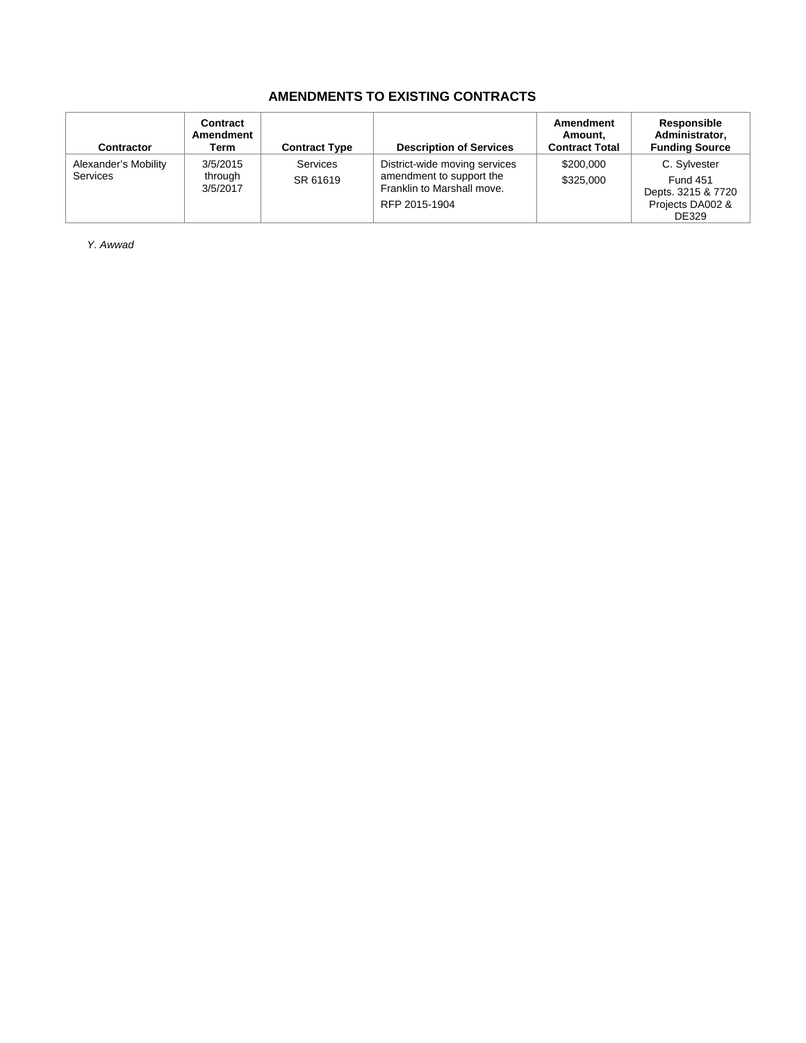# **AMENDMENTS TO EXISTING CONTRACTS**

| Contractor                       | Contract<br>Amendment<br>Term   | <b>Contract Type</b> | <b>Description of Services</b>                                                                           | Amendment<br>Amount,<br><b>Contract Total</b> | Responsible<br>Administrator,<br><b>Funding Source</b>                             |
|----------------------------------|---------------------------------|----------------------|----------------------------------------------------------------------------------------------------------|-----------------------------------------------|------------------------------------------------------------------------------------|
| Alexander's Mobility<br>Services | 3/5/2015<br>through<br>3/5/2017 | Services<br>SR 61619 | District-wide moving services<br>amendment to support the<br>Franklin to Marshall move.<br>RFP 2015-1904 | \$200,000<br>\$325,000                        | C. Sylvester<br><b>Fund 451</b><br>Depts. 3215 & 7720<br>Projects DA002 &<br>DE329 |

*Y. Awwad*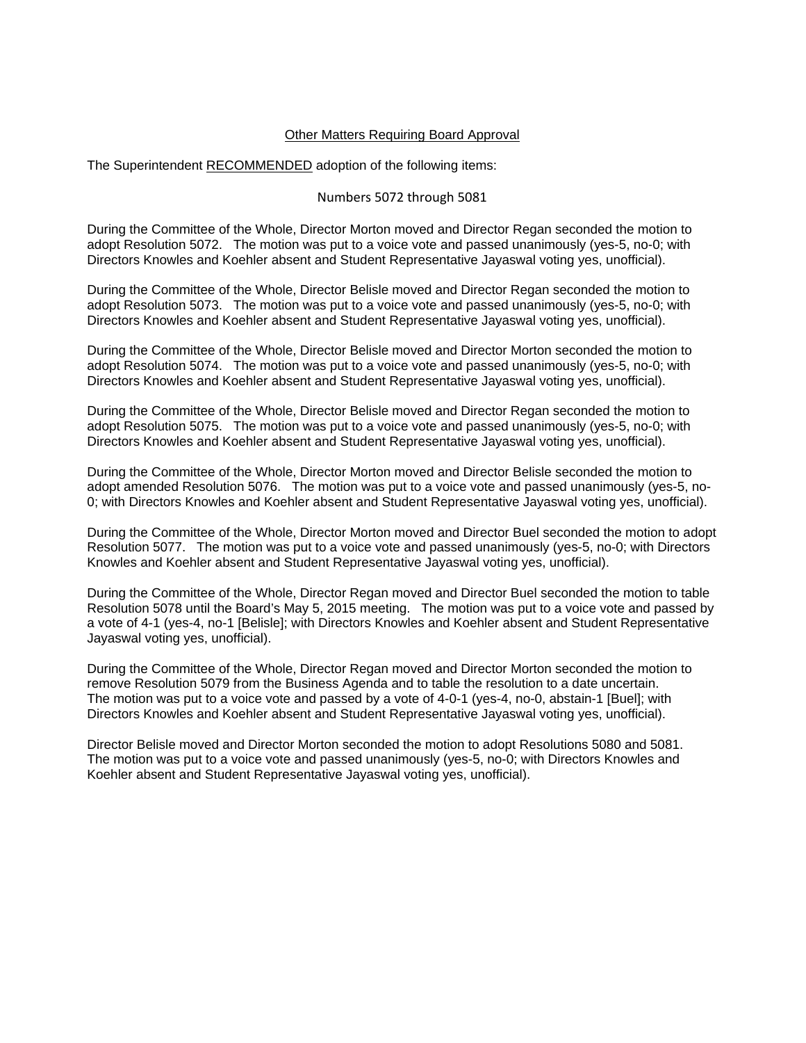#### Other Matters Requiring Board Approval

The Superintendent RECOMMENDED adoption of the following items:

#### Numbers 5072 through 5081

During the Committee of the Whole, Director Morton moved and Director Regan seconded the motion to adopt Resolution 5072. The motion was put to a voice vote and passed unanimously (yes-5, no-0; with Directors Knowles and Koehler absent and Student Representative Jayaswal voting yes, unofficial).

During the Committee of the Whole, Director Belisle moved and Director Regan seconded the motion to adopt Resolution 5073. The motion was put to a voice vote and passed unanimously (yes-5, no-0; with Directors Knowles and Koehler absent and Student Representative Jayaswal voting yes, unofficial).

During the Committee of the Whole, Director Belisle moved and Director Morton seconded the motion to adopt Resolution 5074. The motion was put to a voice vote and passed unanimously (yes-5, no-0; with Directors Knowles and Koehler absent and Student Representative Jayaswal voting yes, unofficial).

During the Committee of the Whole, Director Belisle moved and Director Regan seconded the motion to adopt Resolution 5075. The motion was put to a voice vote and passed unanimously (yes-5, no-0; with Directors Knowles and Koehler absent and Student Representative Jayaswal voting yes, unofficial).

During the Committee of the Whole, Director Morton moved and Director Belisle seconded the motion to adopt amended Resolution 5076. The motion was put to a voice vote and passed unanimously (yes-5, no-0; with Directors Knowles and Koehler absent and Student Representative Jayaswal voting yes, unofficial).

During the Committee of the Whole, Director Morton moved and Director Buel seconded the motion to adopt Resolution 5077. The motion was put to a voice vote and passed unanimously (yes-5, no-0; with Directors Knowles and Koehler absent and Student Representative Jayaswal voting yes, unofficial).

During the Committee of the Whole, Director Regan moved and Director Buel seconded the motion to table Resolution 5078 until the Board's May 5, 2015 meeting. The motion was put to a voice vote and passed by a vote of 4-1 (yes-4, no-1 [Belisle]; with Directors Knowles and Koehler absent and Student Representative Jayaswal voting yes, unofficial).

During the Committee of the Whole, Director Regan moved and Director Morton seconded the motion to remove Resolution 5079 from the Business Agenda and to table the resolution to a date uncertain. The motion was put to a voice vote and passed by a vote of 4-0-1 (yes-4, no-0, abstain-1 [Buel]; with Directors Knowles and Koehler absent and Student Representative Jayaswal voting yes, unofficial).

Director Belisle moved and Director Morton seconded the motion to adopt Resolutions 5080 and 5081. The motion was put to a voice vote and passed unanimously (yes-5, no-0; with Directors Knowles and Koehler absent and Student Representative Jayaswal voting yes, unofficial).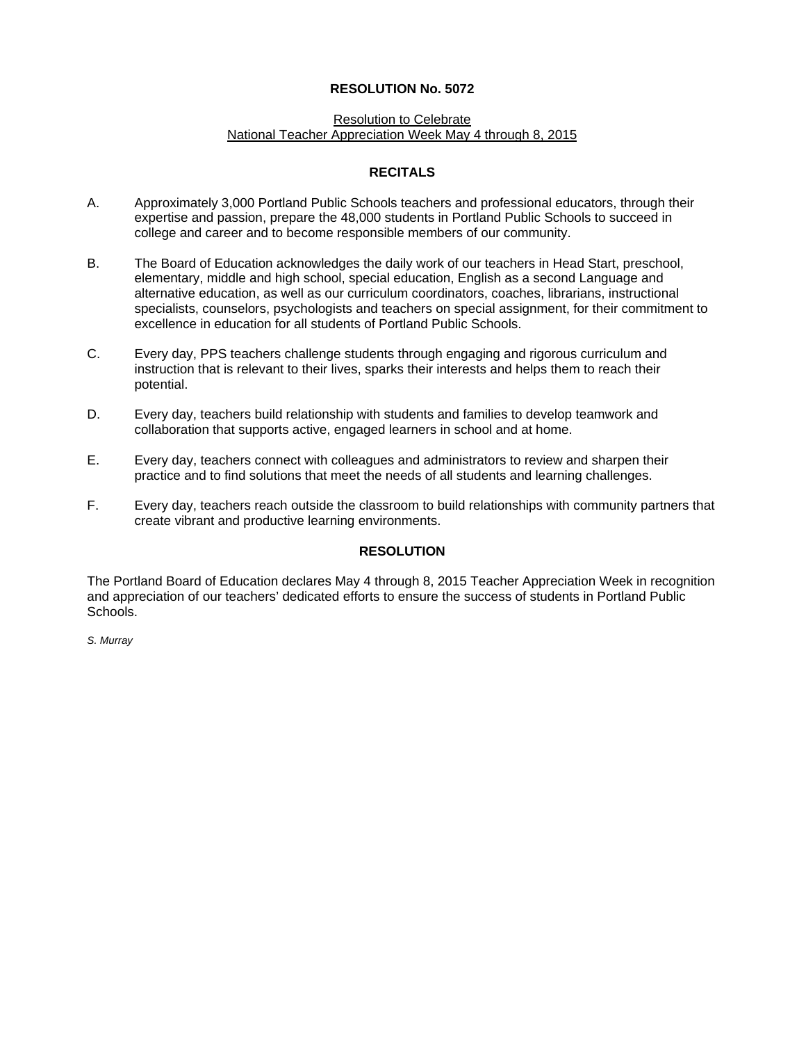#### Resolution to Celebrate National Teacher Appreciation Week May 4 through 8, 2015

## **RECITALS**

- A. Approximately 3,000 Portland Public Schools teachers and professional educators, through their expertise and passion, prepare the 48,000 students in Portland Public Schools to succeed in college and career and to become responsible members of our community.
- B. The Board of Education acknowledges the daily work of our teachers in Head Start, preschool, elementary, middle and high school, special education, English as a second Language and alternative education, as well as our curriculum coordinators, coaches, librarians, instructional specialists, counselors, psychologists and teachers on special assignment, for their commitment to excellence in education for all students of Portland Public Schools.
- C. Every day, PPS teachers challenge students through engaging and rigorous curriculum and instruction that is relevant to their lives, sparks their interests and helps them to reach their potential.
- D. Every day, teachers build relationship with students and families to develop teamwork and collaboration that supports active, engaged learners in school and at home.
- E. Every day, teachers connect with colleagues and administrators to review and sharpen their practice and to find solutions that meet the needs of all students and learning challenges.
- F. Every day, teachers reach outside the classroom to build relationships with community partners that create vibrant and productive learning environments.

## **RESOLUTION**

The Portland Board of Education declares May 4 through 8, 2015 Teacher Appreciation Week in recognition and appreciation of our teachers' dedicated efforts to ensure the success of students in Portland Public Schools.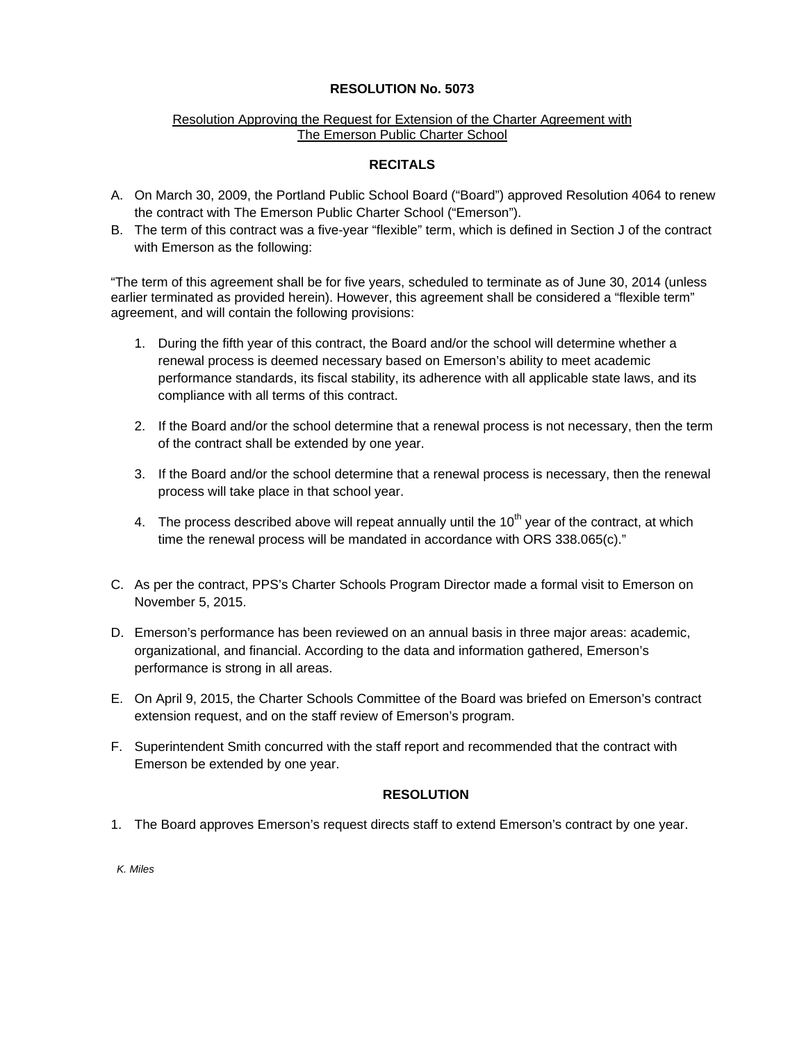### Resolution Approving the Request for Extension of the Charter Agreement with The Emerson Public Charter School

# **RECITALS**

- A. On March 30, 2009, the Portland Public School Board ("Board") approved Resolution 4064 to renew the contract with The Emerson Public Charter School ("Emerson").
- B. The term of this contract was a five-year "flexible" term, which is defined in Section J of the contract with Emerson as the following:

"The term of this agreement shall be for five years, scheduled to terminate as of June 30, 2014 (unless earlier terminated as provided herein). However, this agreement shall be considered a "flexible term" agreement, and will contain the following provisions:

- 1. During the fifth year of this contract, the Board and/or the school will determine whether a renewal process is deemed necessary based on Emerson's ability to meet academic performance standards, its fiscal stability, its adherence with all applicable state laws, and its compliance with all terms of this contract.
- 2. If the Board and/or the school determine that a renewal process is not necessary, then the term of the contract shall be extended by one year.
- 3. If the Board and/or the school determine that a renewal process is necessary, then the renewal process will take place in that school year.
- 4. The process described above will repeat annually until the  $10<sup>th</sup>$  year of the contract, at which time the renewal process will be mandated in accordance with ORS 338.065(c)."
- C. As per the contract, PPS's Charter Schools Program Director made a formal visit to Emerson on November 5, 2015.
- D. Emerson's performance has been reviewed on an annual basis in three major areas: academic, organizational, and financial. According to the data and information gathered, Emerson's performance is strong in all areas.
- E. On April 9, 2015, the Charter Schools Committee of the Board was briefed on Emerson's contract extension request, and on the staff review of Emerson's program.
- F. Superintendent Smith concurred with the staff report and recommended that the contract with Emerson be extended by one year.

## **RESOLUTION**

1. The Board approves Emerson's request directs staff to extend Emerson's contract by one year.

*K. Miles*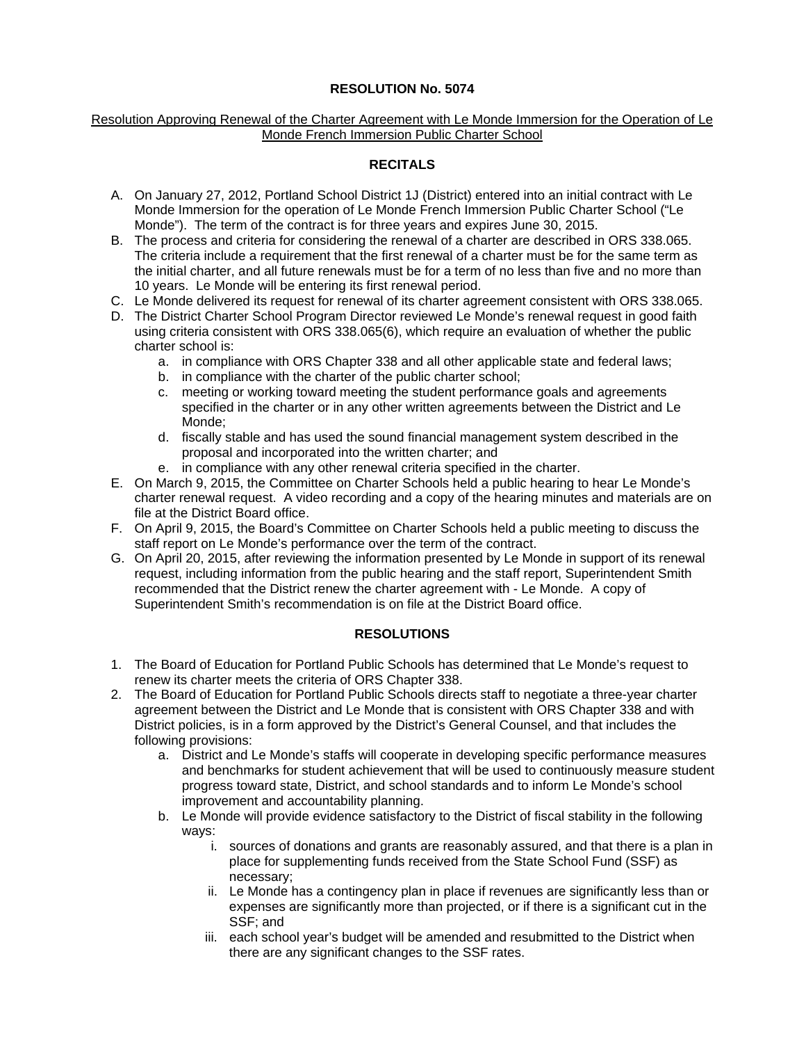#### Resolution Approving Renewal of the Charter Agreement with Le Monde Immersion for the Operation of Le Monde French Immersion Public Charter School

# **RECITALS**

- A. On January 27, 2012, Portland School District 1J (District) entered into an initial contract with Le Monde Immersion for the operation of Le Monde French Immersion Public Charter School ("Le Monde"). The term of the contract is for three years and expires June 30, 2015.
- B. The process and criteria for considering the renewal of a charter are described in ORS 338.065. The criteria include a requirement that the first renewal of a charter must be for the same term as the initial charter, and all future renewals must be for a term of no less than five and no more than 10 years. Le Monde will be entering its first renewal period.
- C. Le Monde delivered its request for renewal of its charter agreement consistent with ORS 338.065.
- D. The District Charter School Program Director reviewed Le Monde's renewal request in good faith using criteria consistent with ORS 338.065(6), which require an evaluation of whether the public charter school is:
	- a. in compliance with ORS Chapter 338 and all other applicable state and federal laws;
	- b. in compliance with the charter of the public charter school;
	- c. meeting or working toward meeting the student performance goals and agreements specified in the charter or in any other written agreements between the District and Le Monde;
	- d. fiscally stable and has used the sound financial management system described in the proposal and incorporated into the written charter; and
	- e. in compliance with any other renewal criteria specified in the charter.
- E. On March 9, 2015, the Committee on Charter Schools held a public hearing to hear Le Monde's charter renewal request. A video recording and a copy of the hearing minutes and materials are on file at the District Board office.
- F. On April 9, 2015, the Board's Committee on Charter Schools held a public meeting to discuss the staff report on Le Monde's performance over the term of the contract.
- G. On April 20, 2015, after reviewing the information presented by Le Monde in support of its renewal request, including information from the public hearing and the staff report, Superintendent Smith recommended that the District renew the charter agreement with - Le Monde. A copy of Superintendent Smith's recommendation is on file at the District Board office.

## **RESOLUTIONS**

- 1. The Board of Education for Portland Public Schools has determined that Le Monde's request to renew its charter meets the criteria of ORS Chapter 338.
- 2. The Board of Education for Portland Public Schools directs staff to negotiate a three-year charter agreement between the District and Le Monde that is consistent with ORS Chapter 338 and with District policies, is in a form approved by the District's General Counsel, and that includes the following provisions:
	- a. District and Le Monde's staffs will cooperate in developing specific performance measures and benchmarks for student achievement that will be used to continuously measure student progress toward state, District, and school standards and to inform Le Monde's school improvement and accountability planning.
	- b. Le Monde will provide evidence satisfactory to the District of fiscal stability in the following ways:
		- i. sources of donations and grants are reasonably assured, and that there is a plan in place for supplementing funds received from the State School Fund (SSF) as necessary;
		- ii. Le Monde has a contingency plan in place if revenues are significantly less than or expenses are significantly more than projected, or if there is a significant cut in the SSF; and
		- iii. each school year's budget will be amended and resubmitted to the District when there are any significant changes to the SSF rates.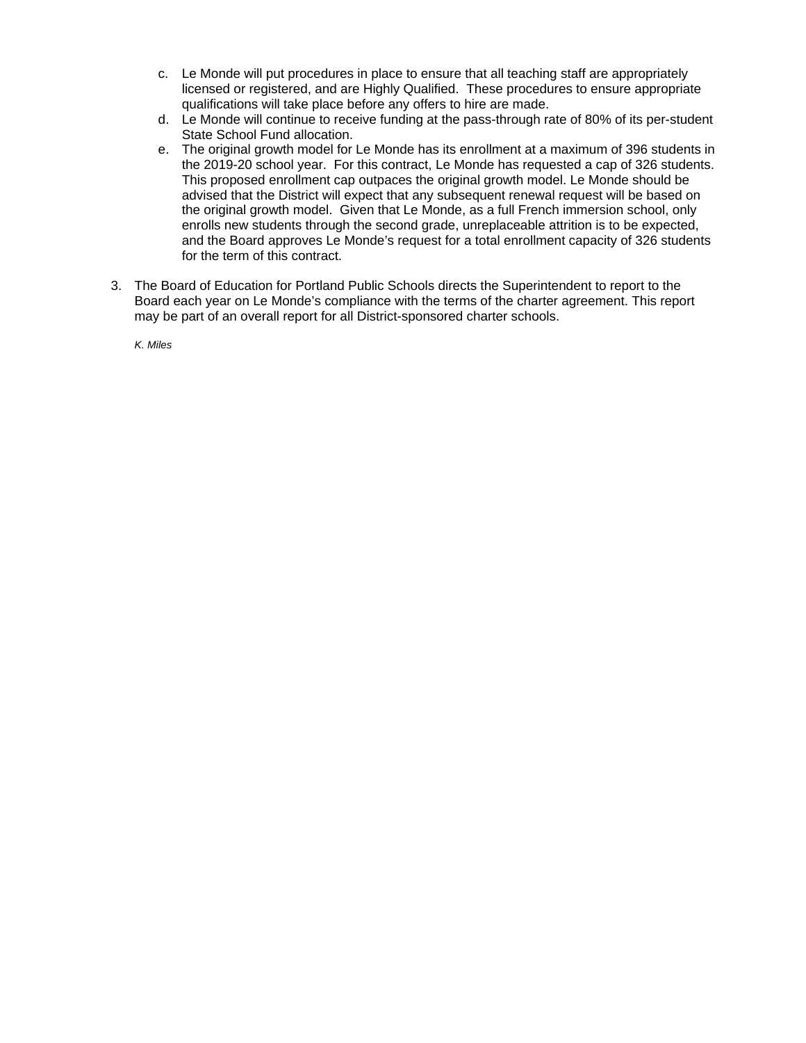- c. Le Monde will put procedures in place to ensure that all teaching staff are appropriately licensed or registered, and are Highly Qualified. These procedures to ensure appropriate qualifications will take place before any offers to hire are made.
- d. Le Monde will continue to receive funding at the pass-through rate of 80% of its per-student State School Fund allocation.
- e. The original growth model for Le Monde has its enrollment at a maximum of 396 students in the 2019-20 school year. For this contract, Le Monde has requested a cap of 326 students. This proposed enrollment cap outpaces the original growth model. Le Monde should be advised that the District will expect that any subsequent renewal request will be based on the original growth model. Given that Le Monde, as a full French immersion school, only enrolls new students through the second grade, unreplaceable attrition is to be expected, and the Board approves Le Monde's request for a total enrollment capacity of 326 students for the term of this contract.
- 3. The Board of Education for Portland Public Schools directs the Superintendent to report to the Board each year on Le Monde's compliance with the terms of the charter agreement. This report may be part of an overall report for all District-sponsored charter schools.

*K. Miles*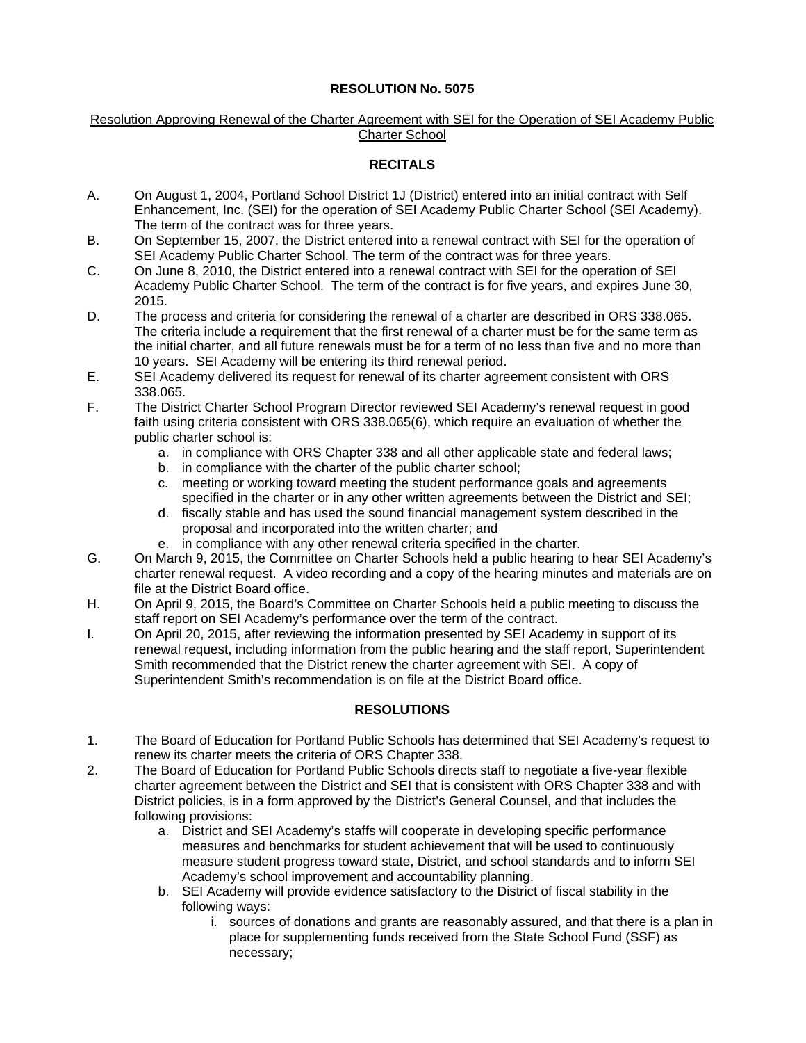### Resolution Approving Renewal of the Charter Agreement with SEI for the Operation of SEI Academy Public Charter School

# **RECITALS**

- A. On August 1, 2004, Portland School District 1J (District) entered into an initial contract with Self Enhancement, Inc. (SEI) for the operation of SEI Academy Public Charter School (SEI Academy). The term of the contract was for three years.
- B. On September 15, 2007, the District entered into a renewal contract with SEI for the operation of SEI Academy Public Charter School. The term of the contract was for three years.
- C. On June 8, 2010, the District entered into a renewal contract with SEI for the operation of SEI Academy Public Charter School. The term of the contract is for five years, and expires June 30, 2015.
- D. The process and criteria for considering the renewal of a charter are described in ORS 338.065. The criteria include a requirement that the first renewal of a charter must be for the same term as the initial charter, and all future renewals must be for a term of no less than five and no more than 10 years. SEI Academy will be entering its third renewal period.
- E. SEI Academy delivered its request for renewal of its charter agreement consistent with ORS 338.065.
- F. The District Charter School Program Director reviewed SEI Academy's renewal request in good faith using criteria consistent with ORS 338.065(6), which require an evaluation of whether the public charter school is:
	- a. in compliance with ORS Chapter 338 and all other applicable state and federal laws;
	- b. in compliance with the charter of the public charter school;
	- c. meeting or working toward meeting the student performance goals and agreements specified in the charter or in any other written agreements between the District and SEI;
	- d. fiscally stable and has used the sound financial management system described in the proposal and incorporated into the written charter; and
	- e. in compliance with any other renewal criteria specified in the charter.
- G. On March 9, 2015, the Committee on Charter Schools held a public hearing to hear SEI Academy's charter renewal request. A video recording and a copy of the hearing minutes and materials are on file at the District Board office.
- H. On April 9, 2015, the Board's Committee on Charter Schools held a public meeting to discuss the staff report on SEI Academy's performance over the term of the contract.
- I. On April 20, 2015, after reviewing the information presented by SEI Academy in support of its renewal request, including information from the public hearing and the staff report, Superintendent Smith recommended that the District renew the charter agreement with SEI. A copy of Superintendent Smith's recommendation is on file at the District Board office.

# **RESOLUTIONS**

- 1. The Board of Education for Portland Public Schools has determined that SEI Academy's request to renew its charter meets the criteria of ORS Chapter 338.
- 2. The Board of Education for Portland Public Schools directs staff to negotiate a five-year flexible charter agreement between the District and SEI that is consistent with ORS Chapter 338 and with District policies, is in a form approved by the District's General Counsel, and that includes the following provisions:
	- a. District and SEI Academy's staffs will cooperate in developing specific performance measures and benchmarks for student achievement that will be used to continuously measure student progress toward state, District, and school standards and to inform SEI Academy's school improvement and accountability planning.
	- b. SEI Academy will provide evidence satisfactory to the District of fiscal stability in the following ways:
		- i. sources of donations and grants are reasonably assured, and that there is a plan in place for supplementing funds received from the State School Fund (SSF) as necessary;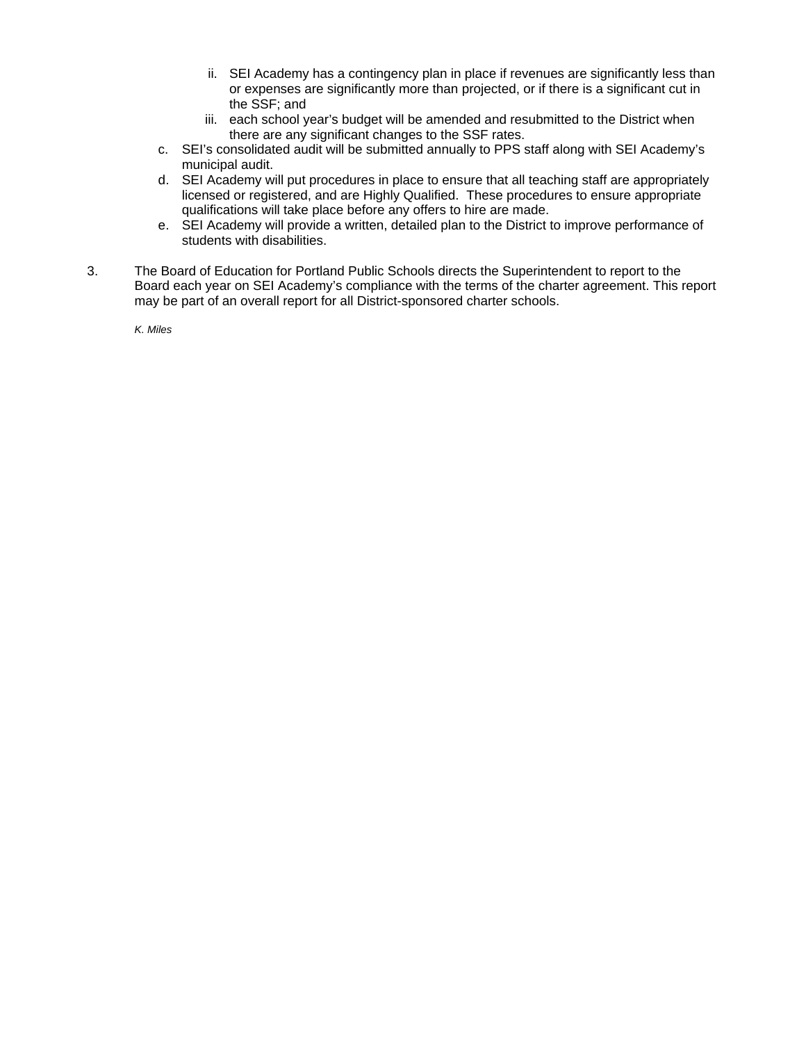- ii. SEI Academy has a contingency plan in place if revenues are significantly less than or expenses are significantly more than projected, or if there is a significant cut in the SSF; and
- iii. each school year's budget will be amended and resubmitted to the District when there are any significant changes to the SSF rates.
- c. SEI's consolidated audit will be submitted annually to PPS staff along with SEI Academy's municipal audit.
- d. SEI Academy will put procedures in place to ensure that all teaching staff are appropriately licensed or registered, and are Highly Qualified. These procedures to ensure appropriate qualifications will take place before any offers to hire are made.
- e. SEI Academy will provide a written, detailed plan to the District to improve performance of students with disabilities.
- 3. The Board of Education for Portland Public Schools directs the Superintendent to report to the Board each year on SEI Academy's compliance with the terms of the charter agreement. This report may be part of an overall report for all District-sponsored charter schools.

*K. Miles*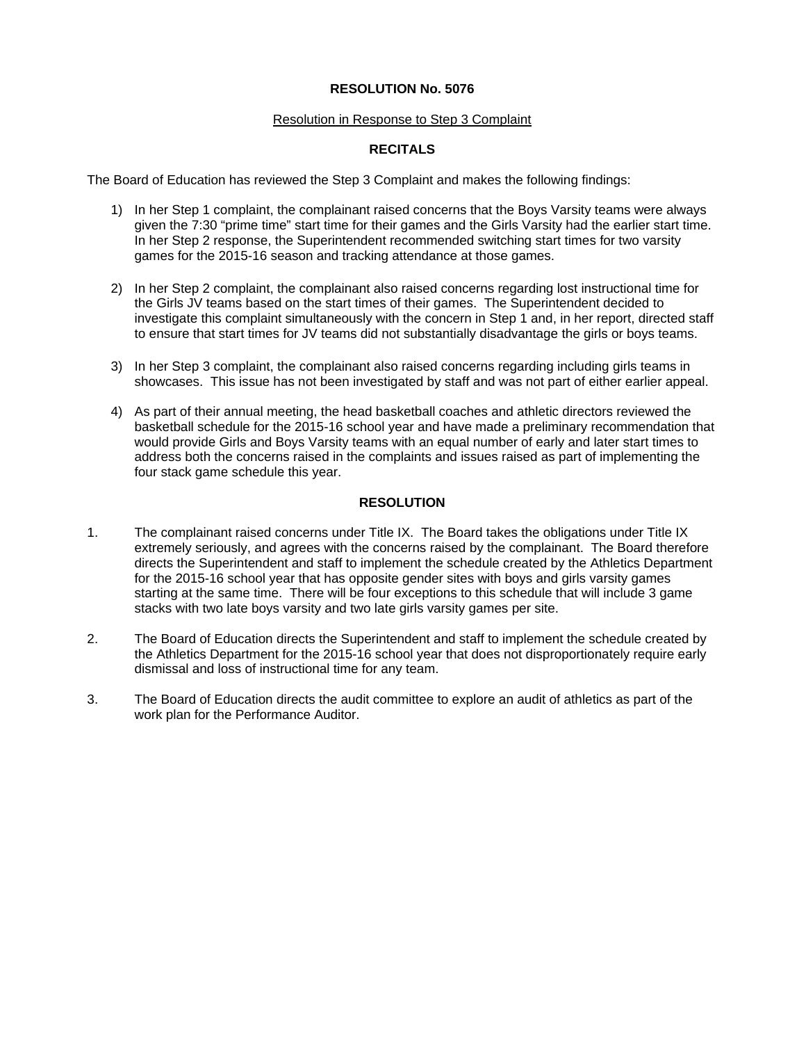#### Resolution in Response to Step 3 Complaint

## **RECITALS**

The Board of Education has reviewed the Step 3 Complaint and makes the following findings:

- 1) In her Step 1 complaint, the complainant raised concerns that the Boys Varsity teams were always given the 7:30 "prime time" start time for their games and the Girls Varsity had the earlier start time. In her Step 2 response, the Superintendent recommended switching start times for two varsity games for the 2015-16 season and tracking attendance at those games.
- 2) In her Step 2 complaint, the complainant also raised concerns regarding lost instructional time for the Girls JV teams based on the start times of their games. The Superintendent decided to investigate this complaint simultaneously with the concern in Step 1 and, in her report, directed staff to ensure that start times for JV teams did not substantially disadvantage the girls or boys teams.
- 3) In her Step 3 complaint, the complainant also raised concerns regarding including girls teams in showcases. This issue has not been investigated by staff and was not part of either earlier appeal.
- 4) As part of their annual meeting, the head basketball coaches and athletic directors reviewed the basketball schedule for the 2015-16 school year and have made a preliminary recommendation that would provide Girls and Boys Varsity teams with an equal number of early and later start times to address both the concerns raised in the complaints and issues raised as part of implementing the four stack game schedule this year.

## **RESOLUTION**

- 1. The complainant raised concerns under Title IX. The Board takes the obligations under Title IX extremely seriously, and agrees with the concerns raised by the complainant. The Board therefore directs the Superintendent and staff to implement the schedule created by the Athletics Department for the 2015-16 school year that has opposite gender sites with boys and girls varsity games starting at the same time. There will be four exceptions to this schedule that will include 3 game stacks with two late boys varsity and two late girls varsity games per site.
- 2. The Board of Education directs the Superintendent and staff to implement the schedule created by the Athletics Department for the 2015-16 school year that does not disproportionately require early dismissal and loss of instructional time for any team.
- 3. The Board of Education directs the audit committee to explore an audit of athletics as part of the work plan for the Performance Auditor.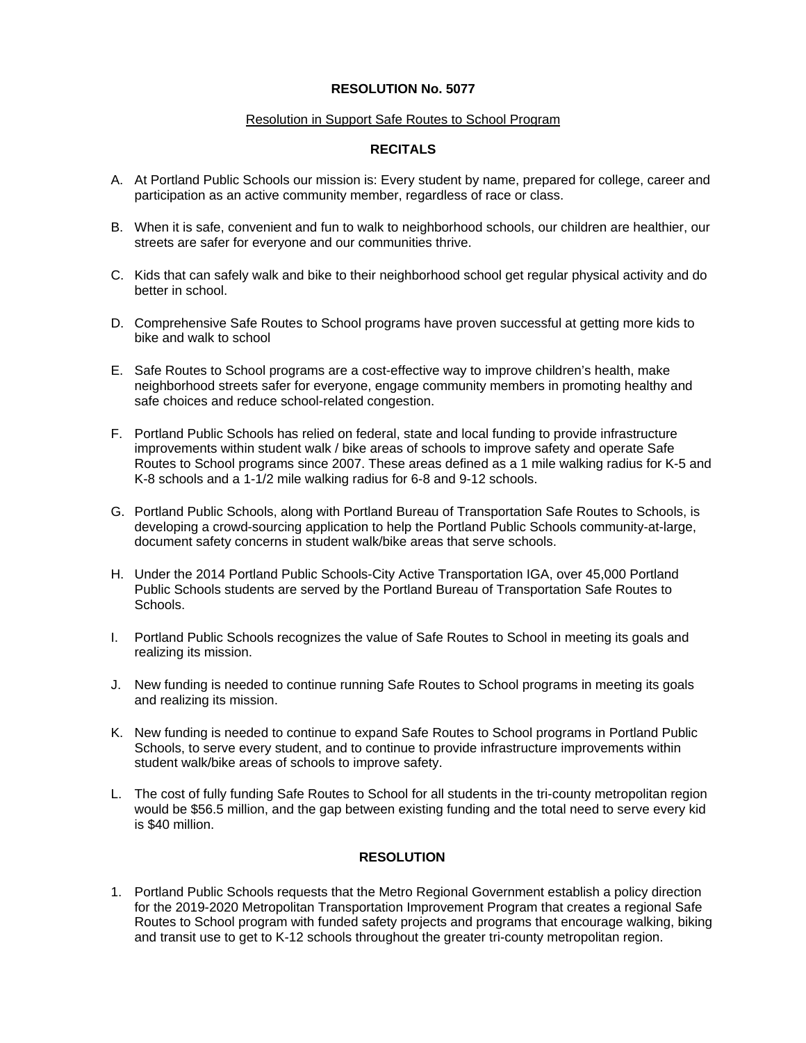#### Resolution in Support Safe Routes to School Program

## **RECITALS**

- A. At Portland Public Schools our mission is: Every student by name, prepared for college, career and participation as an active community member, regardless of race or class.
- B. When it is safe, convenient and fun to walk to neighborhood schools, our children are healthier, our streets are safer for everyone and our communities thrive.
- C. Kids that can safely walk and bike to their neighborhood school get regular physical activity and do better in school.
- D. Comprehensive Safe Routes to School programs have proven successful at getting more kids to bike and walk to school
- E. Safe Routes to School programs are a cost-effective way to improve children's health, make neighborhood streets safer for everyone, engage community members in promoting healthy and safe choices and reduce school-related congestion.
- F. Portland Public Schools has relied on federal, state and local funding to provide infrastructure improvements within student walk / bike areas of schools to improve safety and operate Safe Routes to School programs since 2007. These areas defined as a 1 mile walking radius for K-5 and K-8 schools and a 1-1/2 mile walking radius for 6-8 and 9-12 schools.
- G. Portland Public Schools, along with Portland Bureau of Transportation Safe Routes to Schools, is developing a crowd-sourcing application to help the Portland Public Schools community-at-large, document safety concerns in student walk/bike areas that serve schools.
- H. Under the 2014 Portland Public Schools-City Active Transportation IGA, over 45,000 Portland Public Schools students are served by the Portland Bureau of Transportation Safe Routes to Schools.
- I. Portland Public Schools recognizes the value of Safe Routes to School in meeting its goals and realizing its mission.
- J. New funding is needed to continue running Safe Routes to School programs in meeting its goals and realizing its mission.
- K. New funding is needed to continue to expand Safe Routes to School programs in Portland Public Schools, to serve every student, and to continue to provide infrastructure improvements within student walk/bike areas of schools to improve safety.
- L. The cost of fully funding Safe Routes to School for all students in the tri-county metropolitan region would be \$56.5 million, and the gap between existing funding and the total need to serve every kid is \$40 million.

## **RESOLUTION**

1. Portland Public Schools requests that the Metro Regional Government establish a policy direction for the 2019-2020 Metropolitan Transportation Improvement Program that creates a regional Safe Routes to School program with funded safety projects and programs that encourage walking, biking and transit use to get to K-12 schools throughout the greater tri-county metropolitan region.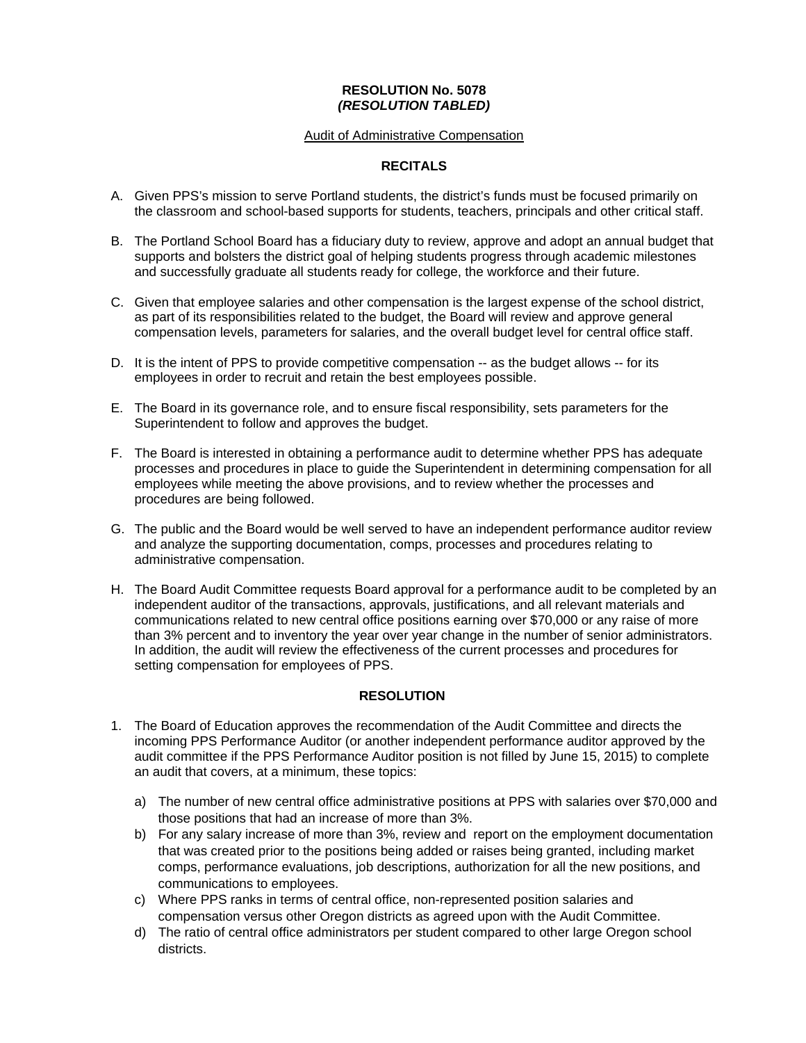#### **RESOLUTION No. 5078**  *(RESOLUTION TABLED)*

#### Audit of Administrative Compensation

# **RECITALS**

- A. Given PPS's mission to serve Portland students, the district's funds must be focused primarily on the classroom and school-based supports for students, teachers, principals and other critical staff.
- B. The Portland School Board has a fiduciary duty to review, approve and adopt an annual budget that supports and bolsters the district goal of helping students progress through academic milestones and successfully graduate all students ready for college, the workforce and their future.
- C. Given that employee salaries and other compensation is the largest expense of the school district, as part of its responsibilities related to the budget, the Board will review and approve general compensation levels, parameters for salaries, and the overall budget level for central office staff.
- D. It is the intent of PPS to provide competitive compensation -- as the budget allows -- for its employees in order to recruit and retain the best employees possible.
- E. The Board in its governance role, and to ensure fiscal responsibility, sets parameters for the Superintendent to follow and approves the budget.
- F. The Board is interested in obtaining a performance audit to determine whether PPS has adequate processes and procedures in place to guide the Superintendent in determining compensation for all employees while meeting the above provisions, and to review whether the processes and procedures are being followed.
- G. The public and the Board would be well served to have an independent performance auditor review and analyze the supporting documentation, comps, processes and procedures relating to administrative compensation.
- H. The Board Audit Committee requests Board approval for a performance audit to be completed by an independent auditor of the transactions, approvals, justifications, and all relevant materials and communications related to new central office positions earning over \$70,000 or any raise of more than 3% percent and to inventory the year over year change in the number of senior administrators. In addition, the audit will review the effectiveness of the current processes and procedures for setting compensation for employees of PPS.

## **RESOLUTION**

- 1. The Board of Education approves the recommendation of the Audit Committee and directs the incoming PPS Performance Auditor (or another independent performance auditor approved by the audit committee if the PPS Performance Auditor position is not filled by June 15, 2015) to complete an audit that covers, at a minimum, these topics:
	- a) The number of new central office administrative positions at PPS with salaries over \$70,000 and those positions that had an increase of more than 3%.
	- b) For any salary increase of more than 3%, review and report on the employment documentation that was created prior to the positions being added or raises being granted, including market comps, performance evaluations, job descriptions, authorization for all the new positions, and communications to employees.
	- c) Where PPS ranks in terms of central office, non-represented position salaries and compensation versus other Oregon districts as agreed upon with the Audit Committee.
	- d) The ratio of central office administrators per student compared to other large Oregon school districts.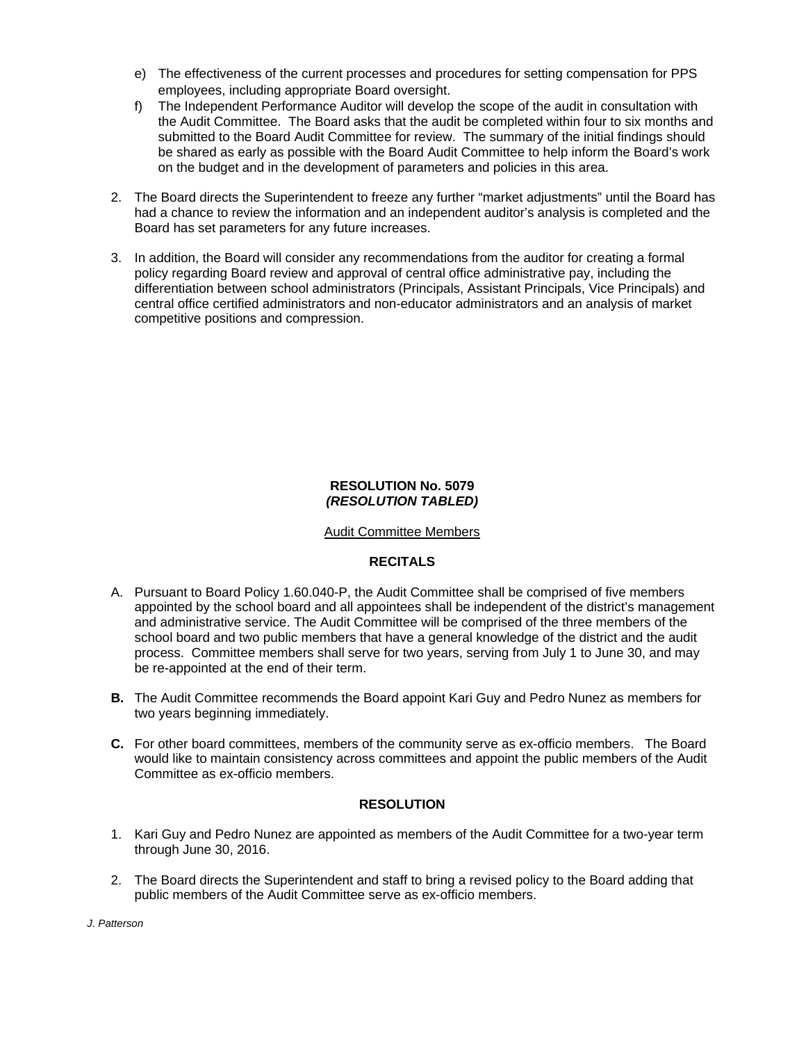- e) The effectiveness of the current processes and procedures for setting compensation for PPS employees, including appropriate Board oversight.
- f) The Independent Performance Auditor will develop the scope of the audit in consultation with the Audit Committee. The Board asks that the audit be completed within four to six months and submitted to the Board Audit Committee for review. The summary of the initial findings should be shared as early as possible with the Board Audit Committee to help inform the Board's work on the budget and in the development of parameters and policies in this area.
- 2. The Board directs the Superintendent to freeze any further "market adjustments" until the Board has had a chance to review the information and an independent auditor's analysis is completed and the Board has set parameters for any future increases.
- 3. In addition, the Board will consider any recommendations from the auditor for creating a formal policy regarding Board review and approval of central office administrative pay, including the differentiation between school administrators (Principals, Assistant Principals, Vice Principals) and central office certified administrators and non-educator administrators and an analysis of market competitive positions and compression.

### **RESOLUTION No. 5079**  *(RESOLUTION TABLED)*

## Audit Committee Members

## **RECITALS**

- A. Pursuant to Board Policy 1.60.040-P, the Audit Committee shall be comprised of five members appointed by the school board and all appointees shall be independent of the district's management and administrative service. The Audit Committee will be comprised of the three members of the school board and two public members that have a general knowledge of the district and the audit process. Committee members shall serve for two years, serving from July 1 to June 30, and may be re-appointed at the end of their term.
- **B.** The Audit Committee recommends the Board appoint Kari Guy and Pedro Nunez as members for two years beginning immediately.
- **C.** For other board committees, members of the community serve as ex-officio members. The Board would like to maintain consistency across committees and appoint the public members of the Audit Committee as ex-officio members.

## **RESOLUTION**

- 1. Kari Guy and Pedro Nunez are appointed as members of the Audit Committee for a two-year term through June 30, 2016.
- 2. The Board directs the Superintendent and staff to bring a revised policy to the Board adding that public members of the Audit Committee serve as ex-officio members.

*J. Patterson*